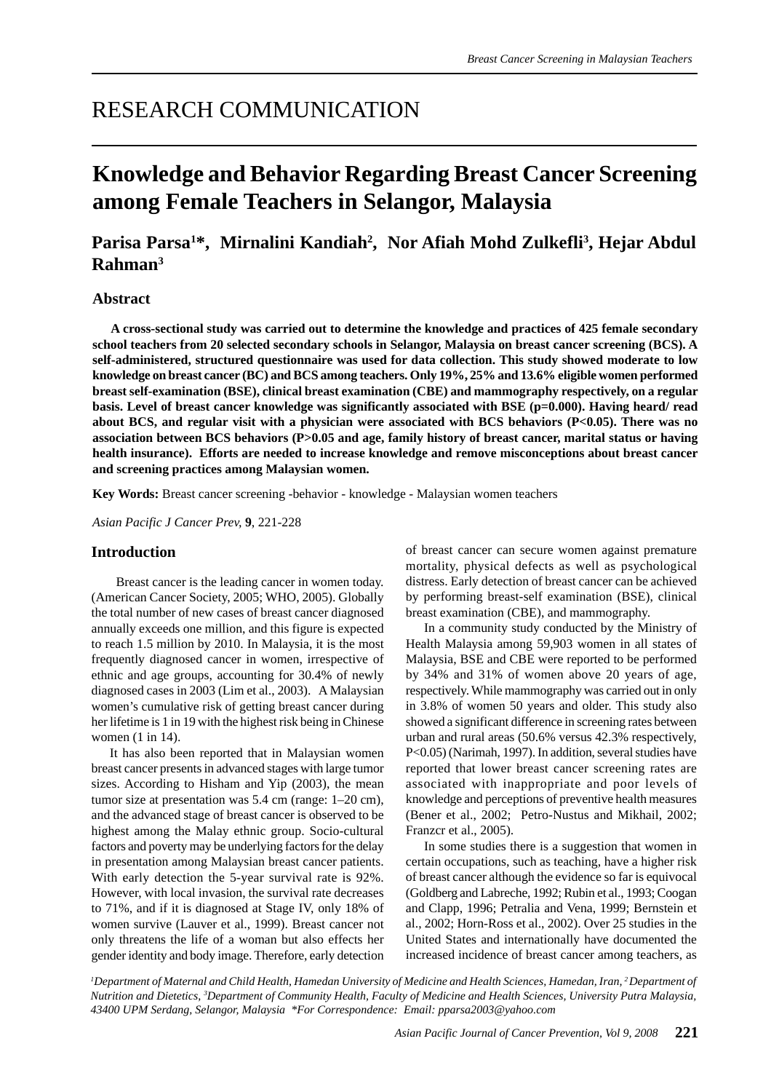## RESEARCH COMMUNICATION

# **Knowledge and Behavior Regarding Breast Cancer Screening among Female Teachers in Selangor, Malaysia**

## Parisa Parsa<sup>1\*</sup>, Mirnalini Kandiah<sup>2</sup>, Nor Afiah Mohd Zulkefli<sup>3</sup>, Hejar Abdul **Rahman3**

## **Abstract**

**A cross-sectional study was carried out to determine the knowledge and practices of 425 female secondary school teachers from 20 selected secondary schools in Selangor, Malaysia on breast cancer screening (BCS). A self-administered, structured questionnaire was used for data collection. This study showed moderate to low knowledge on breast cancer (BC) and BCS among teachers. Only 19%, 25% and 13.6% eligible women performed breast self-examination (BSE), clinical breast examination (CBE) and mammography respectively, on a regular basis. Level of breast cancer knowledge was significantly associated with BSE (p=0.000). Having heard/ read about BCS, and regular visit with a physician were associated with BCS behaviors (P<0.05). There was no association between BCS behaviors (P>0.05 and age, family history of breast cancer, marital status or having health insurance). Efforts are needed to increase knowledge and remove misconceptions about breast cancer and screening practices among Malaysian women.**

**Key Words:** Breast cancer screening -behavior - knowledge - Malaysian women teachers

*Asian Pacific J Cancer Prev,* **9**, 221-228

## **Introduction**

 Breast cancer is the leading cancer in women today. (American Cancer Society, 2005; WHO, 2005). Globally the total number of new cases of breast cancer diagnosed annually exceeds one million, and this figure is expected to reach 1.5 million by 2010. In Malaysia, it is the most frequently diagnosed cancer in women, irrespective of ethnic and age groups, accounting for 30.4% of newly diagnosed cases in 2003 (Lim et al., 2003). A Malaysian women's cumulative risk of getting breast cancer during her lifetime is 1 in 19 with the highest risk being in Chinese women (1 in 14).

It has also been reported that in Malaysian women breast cancer presents in advanced stages with large tumor sizes. According to Hisham and Yip (2003), the mean tumor size at presentation was 5.4 cm (range: 1–20 cm), and the advanced stage of breast cancer is observed to be highest among the Malay ethnic group. Socio-cultural factors and poverty may be underlying factors for the delay in presentation among Malaysian breast cancer patients. With early detection the 5-year survival rate is 92%. However, with local invasion, the survival rate decreases to 71%, and if it is diagnosed at Stage IV, only 18% of women survive (Lauver et al., 1999). Breast cancer not only threatens the life of a woman but also effects her gender identity and body image. Therefore, early detection

of breast cancer can secure women against premature mortality, physical defects as well as psychological distress. Early detection of breast cancer can be achieved by performing breast-self examination (BSE), clinical breast examination (CBE), and mammography.

In a community study conducted by the Ministry of Health Malaysia among 59,903 women in all states of Malaysia, BSE and CBE were reported to be performed by 34% and 31% of women above 20 years of age, respectively. While mammography was carried out in only in 3.8% of women 50 years and older. This study also showed a significant difference in screening rates between urban and rural areas (50.6% versus 42.3% respectively, P<0.05) (Narimah, 1997). In addition, several studies have reported that lower breast cancer screening rates are associated with inappropriate and poor levels of knowledge and perceptions of preventive health measures (Bener et al., 2002; Petro-Nustus and Mikhail, 2002; Franzcr et al., 2005).

In some studies there is a suggestion that women in certain occupations, such as teaching, have a higher risk of breast cancer although the evidence so far is equivocal (Goldberg and Labreche, 1992; Rubin et al., 1993; Coogan and Clapp, 1996; Petralia and Vena, 1999; Bernstein et al., 2002; Horn-Ross et al., 2002). Over 25 studies in the United States and internationally have documented the increased incidence of breast cancer among teachers, as

*1 Department of Maternal and Child Health, Hamedan University of Medicine and Health Sciences, Hamedan, Iran, 2 Department of Nutrition and Dietetics, 3 Department of Community Health, Faculty of Medicine and Health Sciences, University Putra Malaysia, 43400 UPM Serdang, Selangor, Malaysia \*For Correspondence: Email: pparsa2003@yahoo.com*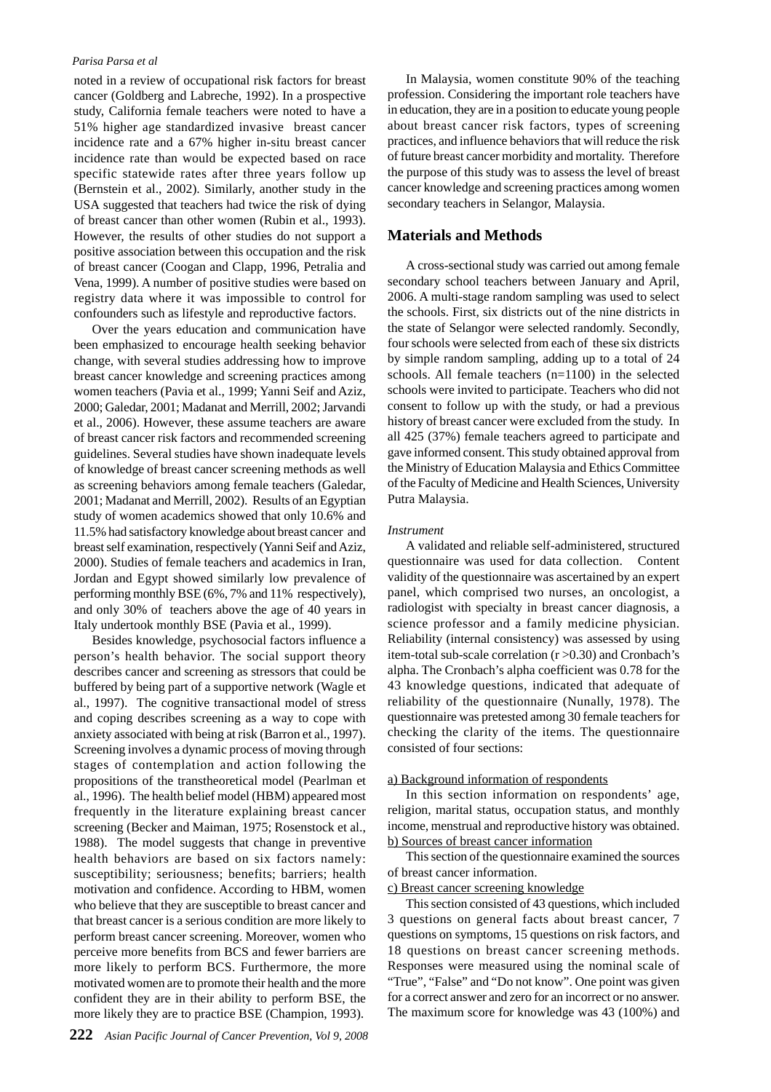noted in a review of occupational risk factors for breast cancer (Goldberg and Labreche, 1992). In a prospective study, California female teachers were noted to have a 51% higher age standardized invasive breast cancer incidence rate and a 67% higher in-situ breast cancer incidence rate than would be expected based on race specific statewide rates after three years follow up (Bernstein et al., 2002). Similarly, another study in the USA suggested that teachers had twice the risk of dying of breast cancer than other women (Rubin et al., 1993). However, the results of other studies do not support a positive association between this occupation and the risk of breast cancer (Coogan and Clapp, 1996, Petralia and Vena, 1999). A number of positive studies were based on registry data where it was impossible to control for confounders such as lifestyle and reproductive factors.

Over the years education and communication have been emphasized to encourage health seeking behavior change, with several studies addressing how to improve breast cancer knowledge and screening practices among women teachers (Pavia et al., 1999; Yanni Seif and Aziz, 2000; Galedar, 2001; Madanat and Merrill, 2002; Jarvandi et al., 2006). However, these assume teachers are aware of breast cancer risk factors and recommended screening guidelines. Several studies have shown inadequate levels of knowledge of breast cancer screening methods as well as screening behaviors among female teachers (Galedar, 2001; Madanat and Merrill, 2002). Results of an Egyptian study of women academics showed that only 10.6% and 11.5% had satisfactory knowledge about breast cancer and breast self examination, respectively (Yanni Seif and Aziz, 2000). Studies of female teachers and academics in Iran, Jordan and Egypt showed similarly low prevalence of performing monthly BSE (6%, 7% and 11% respectively), and only 30% of teachers above the age of 40 years in Italy undertook monthly BSE (Pavia et al., 1999).

Besides knowledge, psychosocial factors influence a person's health behavior. The social support theory describes cancer and screening as stressors that could be buffered by being part of a supportive network (Wagle et al., 1997). The cognitive transactional model of stress and coping describes screening as a way to cope with anxiety associated with being at risk (Barron et al., 1997). Screening involves a dynamic process of moving through stages of contemplation and action following the propositions of the transtheoretical model (Pearlman et al., 1996). The health belief model (HBM) appeared most frequently in the literature explaining breast cancer screening (Becker and Maiman, 1975; Rosenstock et al., 1988). The model suggests that change in preventive health behaviors are based on six factors namely: susceptibility; seriousness; benefits; barriers; health motivation and confidence. According to HBM, women who believe that they are susceptible to breast cancer and that breast cancer is a serious condition are more likely to perform breast cancer screening. Moreover, women who perceive more benefits from BCS and fewer barriers are more likely to perform BCS. Furthermore, the more motivated women are to promote their health and the more confident they are in their ability to perform BSE, the more likely they are to practice BSE (Champion, 1993).

In Malaysia, women constitute 90% of the teaching profession. Considering the important role teachers have in education, they are in a position to educate young people about breast cancer risk factors, types of screening practices, and influence behaviors that will reduce the risk of future breast cancer morbidity and mortality. Therefore the purpose of this study was to assess the level of breast cancer knowledge and screening practices among women secondary teachers in Selangor, Malaysia.

## **Materials and Methods**

A cross-sectional study was carried out among female secondary school teachers between January and April, 2006. A multi-stage random sampling was used to select the schools. First, six districts out of the nine districts in the state of Selangor were selected randomly. Secondly, four schools were selected from each of these six districts by simple random sampling, adding up to a total of 24 schools. All female teachers (n=1100) in the selected schools were invited to participate. Teachers who did not consent to follow up with the study, or had a previous history of breast cancer were excluded from the study. In all 425 (37%) female teachers agreed to participate and gave informed consent. This study obtained approval from the Ministry of Education Malaysia and Ethics Committee of the Faculty of Medicine and Health Sciences, University Putra Malaysia.

## *Instrument*

A validated and reliable self-administered, structured questionnaire was used for data collection. Content validity of the questionnaire was ascertained by an expert panel, which comprised two nurses, an oncologist, a radiologist with specialty in breast cancer diagnosis, a science professor and a family medicine physician. Reliability (internal consistency) was assessed by using item-total sub-scale correlation (r >0.30) and Cronbach's alpha. The Cronbach's alpha coefficient was 0.78 for the 43 knowledge questions, indicated that adequate of reliability of the questionnaire (Nunally, 1978). The questionnaire was pretested among 30 female teachers for checking the clarity of the items. The questionnaire consisted of four sections:

#### a) Background information of respondents

In this section information on respondents' age, religion, marital status, occupation status, and monthly income, menstrual and reproductive history was obtained. b) Sources of breast cancer information

This section of the questionnaire examined the sources of breast cancer information.

## c) Breast cancer screening knowledge

This section consisted of 43 questions, which included 3 questions on general facts about breast cancer, 7 questions on symptoms, 15 questions on risk factors, and 18 questions on breast cancer screening methods. Responses were measured using the nominal scale of "True", "False" and "Do not know". One point was given for a correct answer and zero for an incorrect or no answer. The maximum score for knowledge was 43 (100%) and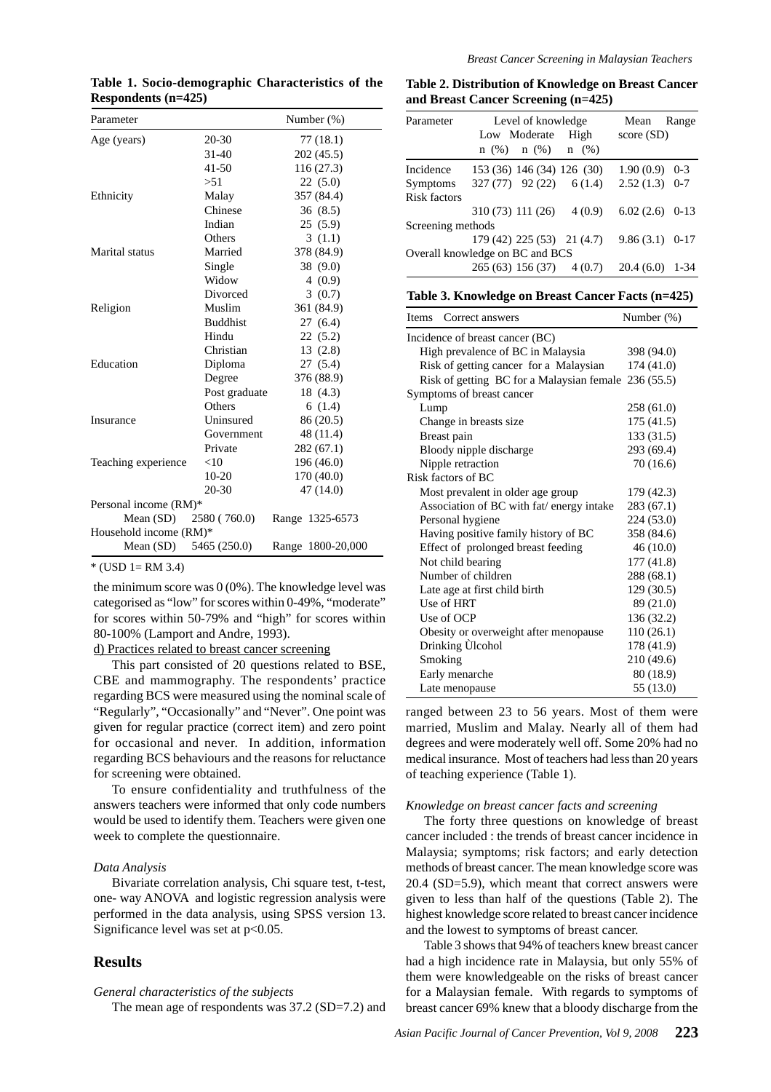| Parameter              |                 | Number $(\%)$     |  |  |
|------------------------|-----------------|-------------------|--|--|
| Age (years)            | $20 - 30$       | 77 (18.1)         |  |  |
|                        | 31-40           | 202 (45.5)        |  |  |
|                        | $41 - 50$       | 116 (27.3)        |  |  |
|                        | > 51            | 22(5.0)           |  |  |
| Ethnicity              | Malay           | 357 (84.4)        |  |  |
|                        | Chinese         | 36(8.5)           |  |  |
|                        | Indian          | 25(5.9)           |  |  |
|                        | Others          | 3(1.1)            |  |  |
| Marital status         | Married         | 378 (84.9)        |  |  |
|                        | Single          | 38 (9.0)          |  |  |
|                        | Widow           | 4(0.9)            |  |  |
|                        | Divorced        | 3(0.7)            |  |  |
| Religion               | Muslim          | 361 (84.9)        |  |  |
|                        | <b>Buddhist</b> | 27(6.4)           |  |  |
|                        | Hindu           | 22(5.2)           |  |  |
|                        | Christian       | 13(2.8)           |  |  |
| Education              | Diploma         | 27(5.4)           |  |  |
|                        | Degree          | 376 (88.9)        |  |  |
|                        | Post graduate   | 18 (4.3)          |  |  |
|                        | Others          | 6(1.4)            |  |  |
| Insurance              | Uninsured       | 86 (20.5)         |  |  |
|                        | Government      | 48 (11.4)         |  |  |
|                        | Private         | 282(67.1)         |  |  |
| Teaching experience    | <10             | 196 (46.0)        |  |  |
|                        | $10 - 20$       | 170 (40.0)        |  |  |
|                        | $20 - 30$       | 47(14.0)          |  |  |
| Personal income (RM)*  |                 |                   |  |  |
| Mean $(SD)$            | 2580 (760.0)    | Range 1325-6573   |  |  |
| Household income (RM)* |                 |                   |  |  |
| Mean $(SD)$            | 5465 (250.0)    | Range 1800-20,000 |  |  |

**Table 1. Socio-demographic Characteristics of the Respondents (n=425)**

 $*(USD 1= RM 3.4)$ 

the minimum score was  $0(0\%)$ . The knowledge level was categorised as "low" for scores within 0-49%, "moderate" for scores within 50-79% and "high" for scores within 80-100% (Lamport and Andre, 1993).

## d) Practices related to breast cancer screening

This part consisted of 20 questions related to BSE, CBE and mammography. The respondents' practice regarding BCS were measured using the nominal scale of "Regularly", "Occasionally" and "Never". One point was given for regular practice (correct item) and zero point for occasional and never. In addition, information regarding BCS behaviours and the reasons for reluctance for screening were obtained.

To ensure confidentiality and truthfulness of the answers teachers were informed that only code numbers would be used to identify them. Teachers were given one week to complete the questionnaire.

#### *Data Analysis*

Bivariate correlation analysis, Chi square test, t-test, one- way ANOVA and logistic regression analysis were performed in the data analysis, using SPSS version 13. Significance level was set at  $p<0.05$ .

## **Results**

#### *General characteristics of the subjects*

The mean age of respondents was 37.2 (SD=7.2) and

breast cancer 69% knew that a bloody discharge from the

Table 3 shows that 94% of teachers knew breast cancer had a high incidence rate in Malaysia, but only 55% of them were knowledgeable on the risks of breast cancer for a Malaysian female. With regards to symptoms of

**Table 2. Distribution of Knowledge on Breast Cancer and Breast Cancer Screening (n=425)**

| Level of knowledge<br>Parameter<br>Low Moderate |                                 | High | Mean<br>score (SD) | Range   |
|-------------------------------------------------|---------------------------------|------|--------------------|---------|
|                                                 | $n(\%)$ $n(\%)$ $n(\%)$         |      |                    |         |
| Incidence                                       | 153 (36) 146 (34) 126 (30)      |      | 1.90(0.9)          | $0 - 3$ |
| Symptoms                                        | 327 (77) 92 (22) 6 (1.4)        |      | $2.52(1.3)$ 0-7    |         |
| Risk factors                                    |                                 |      |                    |         |
|                                                 | 310(73) 111(26) 4(0.9)          |      | $6.02(2.6)$ 0-13   |         |
| Screening methods                               |                                 |      |                    |         |
|                                                 | $179(42)$ $225(53)$ $21(4.7)$   |      | $9.86(3.1)$ 0-17   |         |
|                                                 | Overall knowledge on BC and BCS |      |                    |         |
|                                                 | 265(63) 156(37) 4(0.7)          |      | 20.4(6.0)          | 1-34    |

**Table 3. Knowledge on Breast Cancer Facts (n=425)**

| Correct answers<br>Items                  | Number $(\%)$ |  |  |  |
|-------------------------------------------|---------------|--|--|--|
| Incidence of breast cancer (BC)           |               |  |  |  |
| High prevalence of BC in Malaysia         | 398 (94.0)    |  |  |  |
| Risk of getting cancer for a Malaysian    | 174 (41.0)    |  |  |  |
| Risk of getting BC for a Malaysian female | 236(55.5)     |  |  |  |
| Symptoms of breast cancer                 |               |  |  |  |
| Lump                                      | 258 (61.0)    |  |  |  |
| Change in breasts size                    | 175 (41.5)    |  |  |  |
| Breast pain                               | 133 (31.5)    |  |  |  |
| Bloody nipple discharge                   | 293 (69.4)    |  |  |  |
| Nipple retraction                         | 70(16.6)      |  |  |  |
| Risk factors of BC                        |               |  |  |  |
| Most prevalent in older age group         | 179 (42.3)    |  |  |  |
| Association of BC with fat/energy intake  | 283 (67.1)    |  |  |  |
| Personal hygiene                          | 224 (53.0)    |  |  |  |
| Having positive family history of BC      | 358 (84.6)    |  |  |  |
| Effect of prolonged breast feeding        | 46(10.0)      |  |  |  |
| Not child bearing                         | 177(41.8)     |  |  |  |
| Number of children                        | 288 (68.1)    |  |  |  |
| Late age at first child birth             | 129(30.5)     |  |  |  |
| Use of HRT                                | 89 (21.0)     |  |  |  |
| Use of OCP                                | 136 (32.2)    |  |  |  |
| Obesity or overweight after menopause     | 110(26.1)     |  |  |  |
| Drinking Ulcohol                          | 178 (41.9)    |  |  |  |
| Smoking                                   | 210 (49.6)    |  |  |  |
| Early menarche                            | 80 (18.9)     |  |  |  |
| Late menopause                            | 55 (13.0)     |  |  |  |

ranged between 23 to 56 years. Most of them were married, Muslim and Malay. Nearly all of them had degrees and were moderately well off. Some 20% had no medical insurance. Most of teachers had less than 20 years of teaching experience (Table 1).

#### *Knowledge on breast cancer facts and screening*

The forty three questions on knowledge of breast cancer included : the trends of breast cancer incidence in Malaysia; symptoms; risk factors; and early detection methods of breast cancer. The mean knowledge score was 20.4 (SD=5.9), which meant that correct answers were given to less than half of the questions (Table 2). The highest knowledge score related to breast cancer incidence and the lowest to symptoms of breast cancer.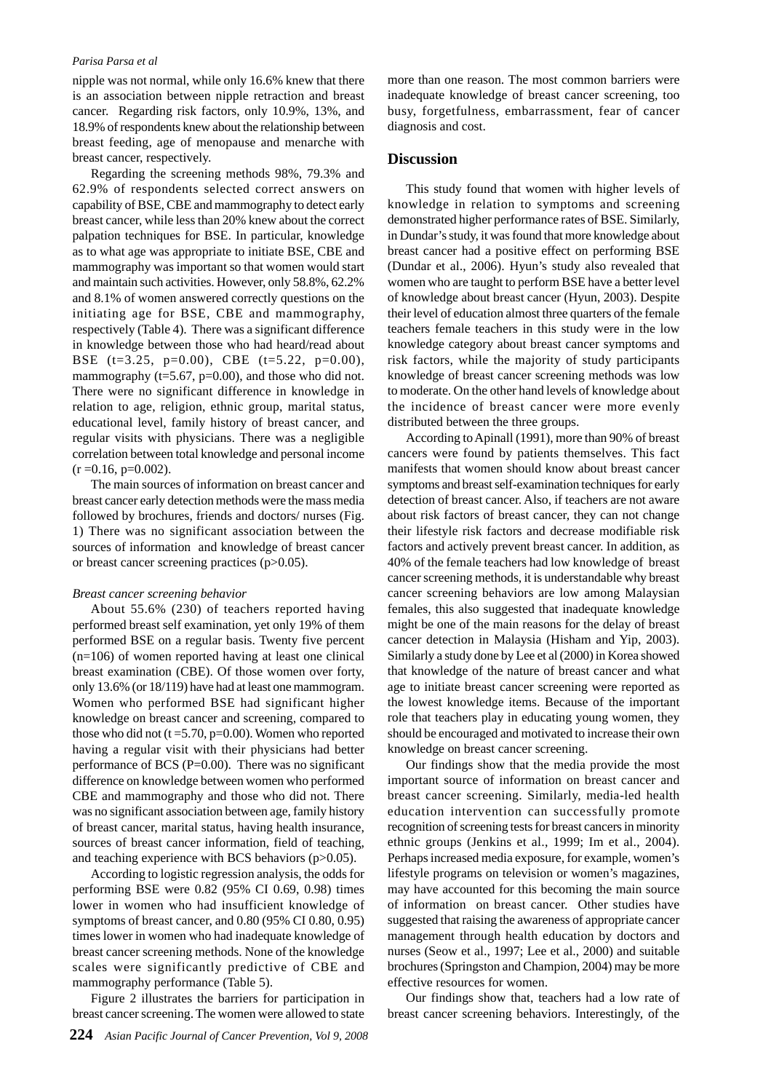nipple was not normal, while only 16.6% knew that there is an association between nipple retraction and breast cancer. Regarding risk factors, only 10.9%, 13%, and 18.9% of respondents knew about the relationship between breast feeding, age of menopause and menarche with breast cancer, respectively.

Regarding the screening methods 98%, 79.3% and 62.9% of respondents selected correct answers on capability of BSE, CBE and mammography to detect early breast cancer, while less than 20% knew about the correct palpation techniques for BSE. In particular, knowledge as to what age was appropriate to initiate BSE, CBE and mammography was important so that women would start and maintain such activities. However, only 58.8%, 62.2% and 8.1% of women answered correctly questions on the initiating age for BSE, CBE and mammography, respectively (Table 4). There was a significant difference in knowledge between those who had heard/read about BSE (t=3.25, p=0.00), CBE (t=5.22, p=0.00), mammography ( $t=5.67$ ,  $p=0.00$ ), and those who did not. There were no significant difference in knowledge in relation to age, religion, ethnic group, marital status, educational level, family history of breast cancer, and regular visits with physicians. There was a negligible correlation between total knowledge and personal income  $(r = 0.16, p = 0.002)$ .

The main sources of information on breast cancer and breast cancer early detection methods were the mass media followed by brochures, friends and doctors/ nurses (Fig. 1) There was no significant association between the sources of information and knowledge of breast cancer or breast cancer screening practices (p>0.05).

## *Breast cancer screening behavior*

About 55.6% (230) of teachers reported having performed breast self examination, yet only 19% of them performed BSE on a regular basis. Twenty five percent (n=106) of women reported having at least one clinical breast examination (CBE). Of those women over forty, only 13.6% (or 18/119) have had at least one mammogram. Women who performed BSE had significant higher knowledge on breast cancer and screening, compared to those who did not  $(t = 5.70, p = 0.00)$ . Women who reported having a regular visit with their physicians had better performance of BCS ( $P=0.00$ ). There was no significant difference on knowledge between women who performed CBE and mammography and those who did not. There was no significant association between age, family history of breast cancer, marital status, having health insurance, sources of breast cancer information, field of teaching, and teaching experience with BCS behaviors (p>0.05).

According to logistic regression analysis, the odds for performing BSE were 0.82 (95% CI 0.69, 0.98) times lower in women who had insufficient knowledge of symptoms of breast cancer, and 0.80 (95% CI 0.80, 0.95) times lower in women who had inadequate knowledge of breast cancer screening methods. None of the knowledge scales were significantly predictive of CBE and mammography performance (Table 5).

Figure 2 illustrates the barriers for participation in breast cancer screening. The women were allowed to state

more than one reason. The most common barriers were inadequate knowledge of breast cancer screening, too busy, forgetfulness, embarrassment, fear of cancer diagnosis and cost.

## **Discussion**

This study found that women with higher levels of knowledge in relation to symptoms and screening demonstrated higher performance rates of BSE. Similarly, in Dundar's study, it was found that more knowledge about breast cancer had a positive effect on performing BSE (Dundar et al., 2006). Hyun's study also revealed that women who are taught to perform BSE have a better level of knowledge about breast cancer (Hyun, 2003). Despite their level of education almost three quarters of the female teachers female teachers in this study were in the low knowledge category about breast cancer symptoms and risk factors, while the majority of study participants knowledge of breast cancer screening methods was low to moderate. On the other hand levels of knowledge about the incidence of breast cancer were more evenly distributed between the three groups.

According to Apinall (1991), more than 90% of breast cancers were found by patients themselves. This fact manifests that women should know about breast cancer symptoms and breast self-examination techniques for early detection of breast cancer. Also, if teachers are not aware about risk factors of breast cancer, they can not change their lifestyle risk factors and decrease modifiable risk factors and actively prevent breast cancer. In addition, as 40% of the female teachers had low knowledge of breast cancer screening methods, it is understandable why breast cancer screening behaviors are low among Malaysian females, this also suggested that inadequate knowledge might be one of the main reasons for the delay of breast cancer detection in Malaysia (Hisham and Yip, 2003). Similarly a study done by Lee et al (2000) in Korea showed that knowledge of the nature of breast cancer and what age to initiate breast cancer screening were reported as the lowest knowledge items. Because of the important role that teachers play in educating young women, they should be encouraged and motivated to increase their own knowledge on breast cancer screening.

Our findings show that the media provide the most important source of information on breast cancer and breast cancer screening. Similarly, media-led health education intervention can successfully promote recognition of screening tests for breast cancers in minority ethnic groups (Jenkins et al., 1999; Im et al., 2004). Perhaps increased media exposure, for example, women's lifestyle programs on television or women's magazines, may have accounted for this becoming the main source of information on breast cancer. Other studies have suggested that raising the awareness of appropriate cancer management through health education by doctors and nurses (Seow et al., 1997; Lee et al., 2000) and suitable brochures (Springston and Champion, 2004) may be more effective resources for women.

Our findings show that, teachers had a low rate of breast cancer screening behaviors. Interestingly, of the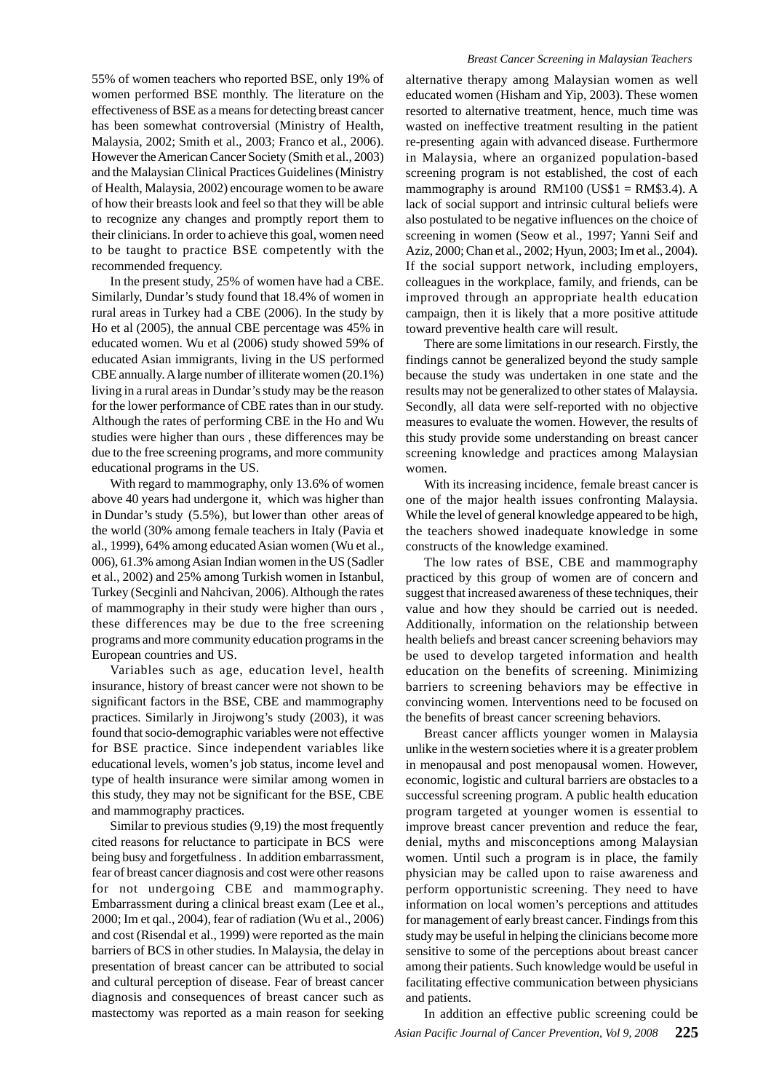55% of women teachers who reported BSE, only 19% of women performed BSE monthly. The literature on the effectiveness of BSE as a means for detecting breast cancer has been somewhat controversial (Ministry of Health, Malaysia, 2002; Smith et al., 2003; Franco et al., 2006). However the American Cancer Society (Smith et al., 2003) and the Malaysian Clinical Practices Guidelines (Ministry of Health, Malaysia, 2002) encourage women to be aware of how their breasts look and feel so that they will be able to recognize any changes and promptly report them to their clinicians. In order to achieve this goal, women need to be taught to practice BSE competently with the recommended frequency.

In the present study, 25% of women have had a CBE. Similarly, Dundar's study found that 18.4% of women in rural areas in Turkey had a CBE (2006). In the study by Ho et al (2005), the annual CBE percentage was 45% in educated women. Wu et al (2006) study showed 59% of educated Asian immigrants, living in the US performed CBE annually. A large number of illiterate women (20.1%) living in a rural areas in Dundar's study may be the reason for the lower performance of CBE rates than in our study. Although the rates of performing CBE in the Ho and Wu studies were higher than ours , these differences may be due to the free screening programs, and more community educational programs in the US.

With regard to mammography, only 13.6% of women above 40 years had undergone it, which was higher than in Dundar's study (5.5%), but lower than other areas of the world (30% among female teachers in Italy (Pavia et al., 1999), 64% among educated Asian women (Wu et al., 006), 61.3% among Asian Indian women in the US (Sadler et al., 2002) and 25% among Turkish women in Istanbul, Turkey (Secginli and Nahcivan, 2006). Although the rates of mammography in their study were higher than ours , these differences may be due to the free screening programs and more community education programs in the European countries and US.

Variables such as age, education level, health insurance, history of breast cancer were not shown to be significant factors in the BSE, CBE and mammography practices. Similarly in Jirojwong's study (2003), it was found that socio-demographic variables were not effective for BSE practice. Since independent variables like educational levels, women's job status, income level and type of health insurance were similar among women in this study, they may not be significant for the BSE, CBE and mammography practices.

Similar to previous studies (9,19) the most frequently cited reasons for reluctance to participate in BCS were being busy and forgetfulness . In addition embarrassment, fear of breast cancer diagnosis and cost were other reasons for not undergoing CBE and mammography. Embarrassment during a clinical breast exam (Lee et al., 2000; Im et qal., 2004), fear of radiation (Wu et al., 2006) and cost (Risendal et al., 1999) were reported as the main barriers of BCS in other studies. In Malaysia, the delay in presentation of breast cancer can be attributed to social and cultural perception of disease. Fear of breast cancer diagnosis and consequences of breast cancer such as mastectomy was reported as a main reason for seeking

#### *Breast Cancer Screening in Malaysian Teachers*

alternative therapy among Malaysian women as well educated women (Hisham and Yip, 2003). These women resorted to alternative treatment, hence, much time was wasted on ineffective treatment resulting in the patient re-presenting again with advanced disease. Furthermore in Malaysia, where an organized population-based screening program is not established, the cost of each mammography is around  $RM100 (US$1 = RM$3.4)$ . A lack of social support and intrinsic cultural beliefs were also postulated to be negative influences on the choice of screening in women (Seow et al., 1997; Yanni Seif and Aziz, 2000; Chan et al., 2002; Hyun, 2003; Im et al., 2004). If the social support network, including employers, colleagues in the workplace, family, and friends, can be improved through an appropriate health education campaign, then it is likely that a more positive attitude toward preventive health care will result.

There are some limitations in our research. Firstly, the findings cannot be generalized beyond the study sample because the study was undertaken in one state and the results may not be generalized to other states of Malaysia. Secondly, all data were self-reported with no objective measures to evaluate the women. However, the results of this study provide some understanding on breast cancer screening knowledge and practices among Malaysian women.

With its increasing incidence, female breast cancer is one of the major health issues confronting Malaysia. While the level of general knowledge appeared to be high, the teachers showed inadequate knowledge in some constructs of the knowledge examined.

The low rates of BSE, CBE and mammography practiced by this group of women are of concern and suggest that increased awareness of these techniques, their value and how they should be carried out is needed. Additionally, information on the relationship between health beliefs and breast cancer screening behaviors may be used to develop targeted information and health education on the benefits of screening. Minimizing barriers to screening behaviors may be effective in convincing women. Interventions need to be focused on the benefits of breast cancer screening behaviors.

Breast cancer afflicts younger women in Malaysia unlike in the western societies where it is a greater problem in menopausal and post menopausal women. However, economic, logistic and cultural barriers are obstacles to a successful screening program. A public health education program targeted at younger women is essential to improve breast cancer prevention and reduce the fear, denial, myths and misconceptions among Malaysian women. Until such a program is in place, the family physician may be called upon to raise awareness and perform opportunistic screening. They need to have information on local women's perceptions and attitudes for management of early breast cancer. Findings from this study may be useful in helping the clinicians become more sensitive to some of the perceptions about breast cancer among their patients. Such knowledge would be useful in facilitating effective communication between physicians and patients.

*Asian Pacific Journal of Cancer Prevention, Vol 9, 2008* **225** In addition an effective public screening could be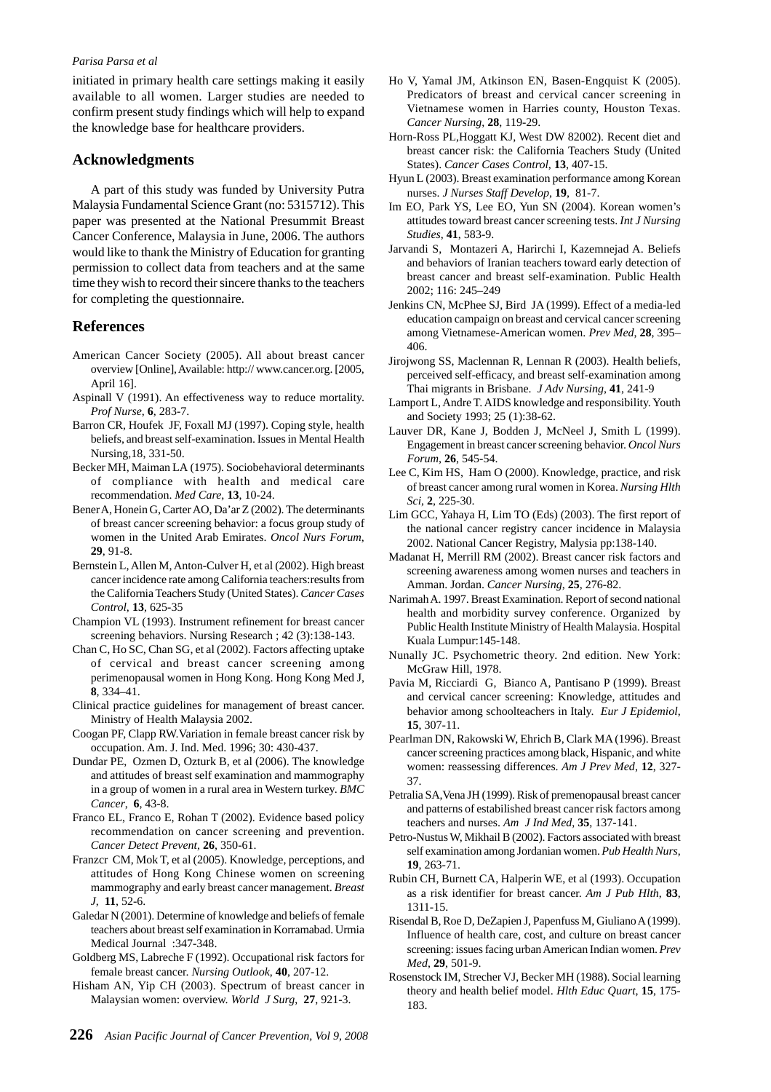initiated in primary health care settings making it easily available to all women. Larger studies are needed to confirm present study findings which will help to expand the knowledge base for healthcare providers.

## **Acknowledgments**

A part of this study was funded by University Putra Malaysia Fundamental Science Grant (no: 5315712). This paper was presented at the National Presummit Breast Cancer Conference, Malaysia in June, 2006. The authors would like to thank the Ministry of Education for granting permission to collect data from teachers and at the same time they wish to record their sincere thanks to the teachers for completing the questionnaire.

## **References**

- American Cancer Society (2005). All about breast cancer overview [Online], Available: http:// www.cancer.org. [2005, April 16].
- Aspinall V (1991). An effectiveness way to reduce mortality. *Prof Nurse*, **6**, 283-7.
- Barron CR, Houfek JF, Foxall MJ (1997). Coping style, health beliefs, and breast self-examination. Issues in Mental Health Nursing,18, 331-50.
- Becker MH, Maiman LA (1975). Sociobehavioral determinants of compliance with health and medical care recommendation. *Med Care*, **13**, 10-24.
- Bener A, Honein G, Carter AO, Da'ar Z (2002). The determinants of breast cancer screening behavior: a focus group study of women in the United Arab Emirates. *Oncol Nurs Forum*, **29**, 91-8.
- Bernstein L, Allen M, Anton-Culver H, et al (2002). High breast cancer incidence rate among California teachers:results from the California Teachers Study (United States). *Cancer Cases Control*, **13**, 625-35
- Champion VL (1993). Instrument refinement for breast cancer screening behaviors. Nursing Research ; 42 (3):138-143.
- Chan C, Ho SC, Chan SG, et al (2002). Factors affecting uptake of cervical and breast cancer screening among perimenopausal women in Hong Kong. Hong Kong Med J, **8**, 334–41.
- Clinical practice guidelines for management of breast cancer. Ministry of Health Malaysia 2002.
- Coogan PF, Clapp RW.Variation in female breast cancer risk by occupation. Am. J. Ind. Med. 1996; 30: 430-437.
- Dundar PE, Ozmen D, Ozturk B, et al (2006). The knowledge and attitudes of breast self examination and mammography in a group of women in a rural area in Western turkey. *BMC Cancer*, **6**, 43-8.
- Franco EL, Franco E, Rohan T (2002). Evidence based policy recommendation on cancer screening and prevention. *Cancer Detect Prevent*, **26**, 350-61.
- Franzcr CM, Mok T, et al (2005). Knowledge, perceptions, and attitudes of Hong Kong Chinese women on screening mammography and early breast cancer management. *Breast J*, **11**, 52-6.
- Galedar N (2001). Determine of knowledge and beliefs of female teachers about breast self examination in Korramabad. Urmia Medical Journal :347-348.
- Goldberg MS, Labreche F (1992). Occupational risk factors for female breast cancer. *Nursing Outlook*, **40**, 207-12.
- Hisham AN, Yip CH (2003). Spectrum of breast cancer in Malaysian women: overview. *World J Surg*, **27**, 921-3.
- Ho V, Yamal JM, Atkinson EN, Basen-Engquist K (2005). Predicators of breast and cervical cancer screening in Vietnamese women in Harries county, Houston Texas. *Cancer Nursing*, **28**, 119-29.
- Horn-Ross PL,Hoggatt KJ, West DW 82002). Recent diet and breast cancer risk: the California Teachers Study (United States). *Cancer Cases Control*, **13**, 407-15.
- Hyun L (2003). Breast examination performance among Korean nurses. *J Nurses Staff Develop*, **19**, 81-7.
- Im EO, Park YS, Lee EO, Yun SN (2004). Korean women's attitudes toward breast cancer screening tests. *Int J Nursing Studies*, **41**, 583-9.
- Jarvandi S, Montazeri A, Harirchi I, Kazemnejad A. Beliefs and behaviors of Iranian teachers toward early detection of breast cancer and breast self-examination. Public Health 2002; 116: 245–249
- Jenkins CN, McPhee SJ, Bird JA (1999). Effect of a media-led education campaign on breast and cervical cancer screening among Vietnamese-American women. *Prev Med*, **28**, 395– 406.
- Jirojwong SS, Maclennan R, Lennan R (2003). Health beliefs, perceived self-efficacy, and breast self-examination among Thai migrants in Brisbane. *J Adv Nursing*, **41**, 241-9
- Lamport L, Andre T. AIDS knowledge and responsibility. Youth and Society 1993; 25 (1):38-62.
- Lauver DR, Kane J, Bodden J, McNeel J, Smith L (1999). Engagement in breast cancer screening behavior. *Oncol Nurs Forum*, **26**, 545-54.
- Lee C, Kim HS, Ham O (2000). Knowledge, practice, and risk of breast cancer among rural women in Korea. *Nursing Hlth Sci*, **2**, 225-30.
- Lim GCC, Yahaya H, Lim TO (Eds) (2003). The first report of the national cancer registry cancer incidence in Malaysia 2002. National Cancer Registry, Malysia pp:138-140.
- Madanat H, Merrill RM (2002). Breast cancer risk factors and screening awareness among women nurses and teachers in Amman. Jordan. *Cancer Nursing*, **25**, 276-82.
- Narimah A. 1997. Breast Examination. Report of second national health and morbidity survey conference. Organized by Public Health Institute Ministry of Health Malaysia. Hospital Kuala Lumpur:145-148.
- Nunally JC. Psychometric theory. 2nd edition. New York: McGraw Hill, 1978.
- Pavia M, Ricciardi G, Bianco A, Pantisano P (1999). Breast and cervical cancer screening: Knowledge, attitudes and behavior among schoolteachers in Italy. *Eur J Epidemiol*, **15**, 307-11.
- Pearlman DN, Rakowski W, Ehrich B, Clark MA (1996). Breast cancer screening practices among black, Hispanic, and white women: reassessing differences. *Am J Prev Med*, **12**, 327- 37.
- Petralia SA,Vena JH (1999). Risk of premenopausal breast cancer and patterns of estabilished breast cancer risk factors among teachers and nurses. *Am J Ind Med*, **35**, 137-141.
- Petro-Nustus W, Mikhail B (2002). Factors associated with breast self examination among Jordanian women. *Pub Health Nurs*, **19**, 263-71.
- Rubin CH, Burnett CA, Halperin WE, et al (1993). Occupation as a risk identifier for breast cancer. *Am J Pub Hlth*, **83**, 1311-15.
- Risendal B, Roe D, DeZapien J, Papenfuss M, Giuliano A (1999). Influence of health care, cost, and culture on breast cancer screening: issues facing urban American Indian women. *Prev Med*, **29**, 501-9.
- Rosenstock IM, Strecher VJ, Becker MH (1988). Social learning theory and health belief model. *Hlth Educ Quart*, **15**, 175- 183.